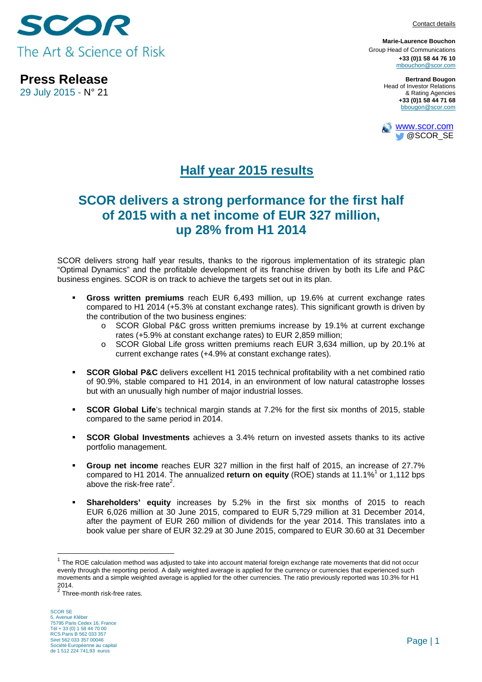

**Press Release**  29 July 2015 - N° 21

**Marie-Laurence Bouchon** Group Head of Communications **+33 (0)1 58 44 76 10** mbouchon@scor.com

> **Bertrand Bougon**  Head of Investor Relations & Rating Agencies **+33 (0)1 58 44 71 68**  bbougon@scor.com



# **Half year 2015 results**

## **SCOR delivers a strong performance for the first half of 2015 with a net income of EUR 327 million, up 28% from H1 2014**

SCOR delivers strong half year results, thanks to the rigorous implementation of its strategic plan "Optimal Dynamics" and the profitable development of its franchise driven by both its Life and P&C business engines. SCOR is on track to achieve the targets set out in its plan.

- **Gross written premiums** reach EUR 6,493 million, up 19.6% at current exchange rates compared to H1 2014 (+5.3% at constant exchange rates). This significant growth is driven by the contribution of the two business engines:
	- o SCOR Global P&C gross written premiums increase by 19.1% at current exchange rates (+5.9% at constant exchange rates) to EUR 2,859 million;
	- o SCOR Global Life gross written premiums reach EUR 3,634 million, up by 20.1% at current exchange rates (+4.9% at constant exchange rates).
- **SCOR Global P&C** delivers excellent H1 2015 technical profitability with a net combined ratio of 90.9%, stable compared to H1 2014, in an environment of low natural catastrophe losses but with an unusually high number of major industrial losses.
- **SCOR Global Life**'s technical margin stands at 7.2% for the first six months of 2015, stable compared to the same period in 2014.
- **SCOR Global Investments** achieves a 3.4% return on invested assets thanks to its active portfolio management.
- **Group net income** reaches EUR 327 million in the first half of 2015, an increase of 27.7% compared to H1 2014. The annualized return on equity (ROE) stands at 11.1%<sup>1</sup> or 1,112 bps above the risk-free rate<sup>2</sup>.
- **Shareholders' equity** increases by 5.2% in the first six months of 2015 to reach EUR 6,026 million at 30 June 2015, compared to EUR 5,729 million at 31 December 2014, after the payment of EUR 260 million of dividends for the year 2014. This translates into a book value per share of EUR 32.29 at 30 June 2015, compared to EUR 30.60 at 31 December

 $1$  The ROE calculation method was adjusted to take into account material foreign exchange rate movements that did not occur evenly through the reporting period. A daily weighted average is applied for the currency or currencies that experienced such movements and a simple weighted average is applied for the other currencies. The ratio previously reported was 10.3% for H1 2014.

 $\frac{2}{3}$  Three-month risk-free rates.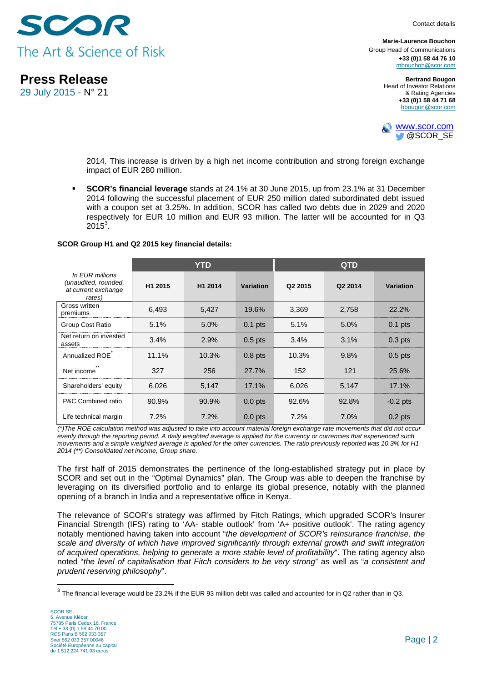

**Press Release** 

29 July 2015 - N° 21

**Marie-Laurence Bouchon** Group Head of Communications **+33 (0)1 58 44 76 10** mbouchon@scor.com

> **Bertrand Bougon**  Head of Investor Relations & Rating Agencies **+33 (0)1 58 44 71 68**  bbougon@scor.com



2014. This increase is driven by a high net income contribution and strong foreign exchange impact of EUR 280 million.

 **SCOR's financial leverage** stands at 24.1% at 30 June 2015, up from 23.1% at 31 December 2014 following the successful placement of EUR 250 million dated subordinated debt issued with a coupon set at 3.25%. In addition, SCOR has called two debts due in 2029 and 2020 respectively for EUR 10 million and EUR 93 million. The latter will be accounted for in Q3  $2015^3$ .

#### **SCOR Group H1 and Q2 2015 key financial details:**

|                                                                          | <b>YTD</b> |         |           | <b>QTD</b> |         |            |
|--------------------------------------------------------------------------|------------|---------|-----------|------------|---------|------------|
| In EUR millions<br>(unaudited, rounded,<br>at current exchange<br>rates) | H1 2015    | H1 2014 | Variation | Q2 2015    | Q2 2014 | Variation  |
| Gross written<br>premiums                                                | 6,493      | 5,427   | 19.6%     | 3,369      | 2,758   | 22.2%      |
| Group Cost Ratio                                                         | 5.1%       | 5.0%    | $0.1$ pts | 5.1%       | 5.0%    | $0.1$ pts  |
| Net return on invested<br>assets                                         | 3.4%       | 2.9%    | $0.5$ pts | 3.4%       | 3.1%    | $0.3$ pts  |
| Annualized ROE                                                           | 11.1%      | 10.3%   | $0.8$ pts | 10.3%      | 9.8%    | $0.5$ pts  |
| Net income                                                               | 327        | 256     | 27.7%     | 152        | 121     | 25.6%      |
| Shareholders' equity                                                     | 6,026      | 5,147   | 17.1%     | 6,026      | 5,147   | 17.1%      |
| P&C Combined ratio                                                       | 90.9%      | 90.9%   | $0.0$ pts | 92.6%      | 92.8%   | $-0.2$ pts |
| Life technical margin                                                    | 7.2%       | 7.2%    | $0.0$ pts | 7.2%       | 7.0%    | $0.2$ pts  |

*(\*)The ROE calculation method was adjusted to take into account material foreign exchange rate movements that did not occur evenly through the reporting period. A daily weighted average is applied for the currency or currencies that experienced such movements and a simple weighted average is applied for the other currencies. The ratio previously reported was 10.3% for H1 2014 (\*\*) Consolidated net income, Group share.* 

The first half of 2015 demonstrates the pertinence of the long-established strategy put in place by SCOR and set out in the "Optimal Dynamics" plan. The Group was able to deepen the franchise by leveraging on its diversified portfolio and to enlarge its global presence, notably with the planned opening of a branch in India and a representative office in Kenya.

The relevance of SCOR's strategy was affirmed by Fitch Ratings, which upgraded SCOR's Insurer Financial Strength (IFS) rating to 'AA- stable outlook' from 'A+ positive outlook'. The rating agency notably mentioned having taken into account "*the development of SCOR's reinsurance franchise, the scale and diversity of which have improved significantly through external growth and swift integration of acquired operations, helping to generate a more stable level of profitability*". The rating agency also noted "*the level of capitalisation that Fitch considers to be very strong*" as well as "*a consistent and prudent reserving philosophy*".

 $^3$  The financial leverage would be 23.2% if the EUR 93 million debt was called and accounted for in Q2 rather than in Q3.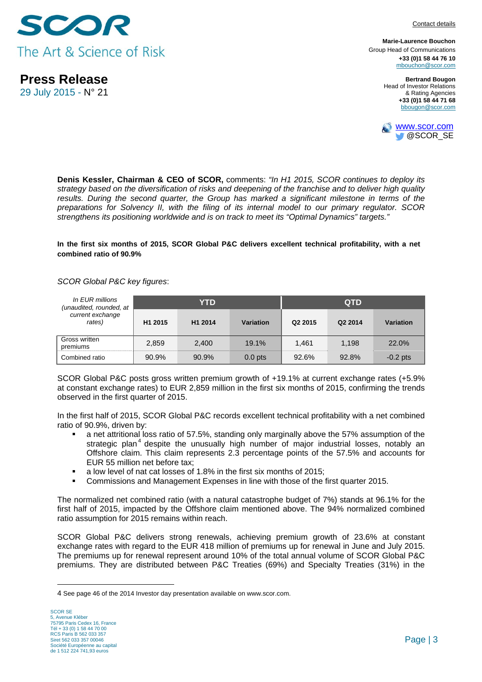

**Press Release** 

29 July 2015 - N° 21

Contact details

**Marie-Laurence Bouchon** Group Head of Communications **+33 (0)1 58 44 76 10** mbouchon@scor.com

> **Bertrand Bougon**  Head of Investor Relations & Rating Agencies **+33 (0)1 58 44 71 68**  bbougon@scor.com



**Denis Kessler, Chairman & CEO of SCOR,** comments: *"In H1 2015, SCOR continues to deploy its strategy based on the diversification of risks and deepening of the franchise and to deliver high quality*  results. During the second quarter, the Group has marked a significant milestone in terms of the *preparations for Solvency II, with the filing of its internal model to our primary regulator. SCOR strengthens its positioning worldwide and is on track to meet its "Optimal Dynamics" targets."* 

**In the first six months of 2015, SCOR Global P&C delivers excellent technical profitability, with a net combined ratio of 90.9%** 

#### *SCOR Global P&C key figures*:

| In EUR millions<br>(unaudited, rounded, at |                     | YTD     |           | <b>QTD</b>          |         |            |
|--------------------------------------------|---------------------|---------|-----------|---------------------|---------|------------|
| current exchange<br>rates)                 | H <sub>1</sub> 2015 | H1 2014 | Variation | Q <sub>2</sub> 2015 | Q2 2014 | Variation  |
| Gross written<br>premiums                  | 2,859               | 2.400   | 19.1%     | 1.461               | 1,198   | 22.0%      |
| Combined ratio                             | 90.9%               | 90.9%   | $0.0$ pts | 92.6%               | 92.8%   | $-0.2$ pts |

SCOR Global P&C posts gross written premium growth of +19.1% at current exchange rates (+5.9% at constant exchange rates) to EUR 2,859 million in the first six months of 2015, confirming the trends observed in the first quarter of 2015.

In the first half of 2015, SCOR Global P&C records excellent technical profitability with a net combined ratio of 90.9%, driven by:

- a net attritional loss ratio of 57.5%, standing only marginally above the 57% assumption of the strategic plan<sup>4</sup> despite the unusually high number of major industrial losses, notably an Offshore claim. This claim represents 2.3 percentage points of the 57.5% and accounts for EUR 55 million net before tax;
- a low level of nat cat losses of 1.8% in the first six months of 2015;
- Commissions and Management Expenses in line with those of the first quarter 2015.

The normalized net combined ratio (with a natural catastrophe budget of 7%) stands at 96.1% for the first half of 2015, impacted by the Offshore claim mentioned above. The 94% normalized combined ratio assumption for 2015 remains within reach.

SCOR Global P&C delivers strong renewals, achieving premium growth of 23.6% at constant exchange rates with regard to the EUR 418 million of premiums up for renewal in June and July 2015. The premiums up for renewal represent around 10% of the total annual volume of SCOR Global P&C premiums. They are distributed between P&C Treaties (69%) and Specialty Treaties (31%) in the

<sup>4</sup> See page 46 of the 2014 Investor day presentation available on www.scor.com.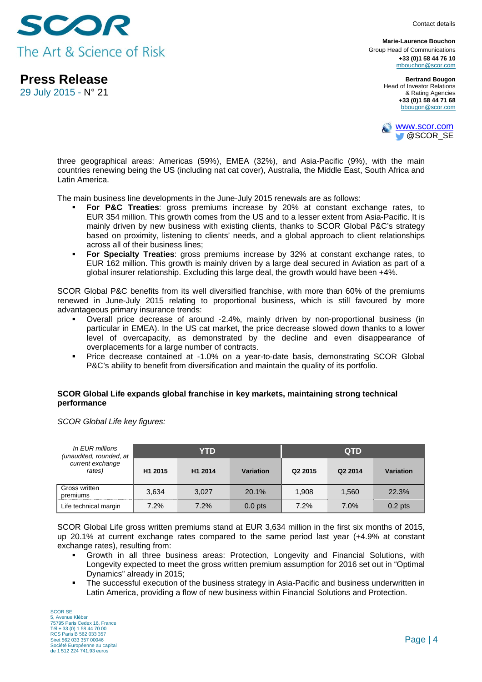

**Press Release** 

29 July 2015 - N° 21

**Marie-Laurence Bouchon** Group Head of Communications **+33 (0)1 58 44 76 10** mbouchon@scor.com

> **Bertrand Bougon**  Head of Investor Relations & Rating Agencies **+33 (0)1 58 44 71 68**  bbougon@scor.com



three geographical areas: Americas (59%), EMEA (32%), and Asia-Pacific (9%), with the main countries renewing being the US (including nat cat cover), Australia, the Middle East, South Africa and Latin America.

The main business line developments in the June-July 2015 renewals are as follows:

- **For P&C Treaties**: gross premiums increase by 20% at constant exchange rates, to EUR 354 million. This growth comes from the US and to a lesser extent from Asia-Pacific. It is mainly driven by new business with existing clients, thanks to SCOR Global P&C's strategy based on proximity, listening to clients' needs, and a global approach to client relationships across all of their business lines;
- **For Specialty Treaties**: gross premiums increase by 32% at constant exchange rates, to EUR 162 million. This growth is mainly driven by a large deal secured in Aviation as part of a global insurer relationship. Excluding this large deal, the growth would have been +4%.

SCOR Global P&C benefits from its well diversified franchise, with more than 60% of the premiums renewed in June-July 2015 relating to proportional business, which is still favoured by more advantageous primary insurance trends:

- Overall price decrease of around -2.4%, mainly driven by non-proportional business (in particular in EMEA). In the US cat market, the price decrease slowed down thanks to a lower level of overcapacity, as demonstrated by the decline and even disappearance of overplacements for a large number of contracts.
- Price decrease contained at -1.0% on a year-to-date basis, demonstrating SCOR Global P&C's ability to benefit from diversification and maintain the quality of its portfolio.

### **SCOR Global Life expands global franchise in key markets, maintaining strong technical performance**

*SCOR Global Life key figures:* 

| In EUR millions<br>(unaudited, rounded, at |                     | YTD     |           | <b>QTD</b>          |         |           |
|--------------------------------------------|---------------------|---------|-----------|---------------------|---------|-----------|
| current exchange<br>rates)                 | H <sub>1</sub> 2015 | H1 2014 | Variation | Q <sub>2</sub> 2015 | Q2 2014 | Variation |
| Gross written<br>premiums                  | 3,634               | 3.027   | 20.1%     | 1,908               | 1.560   | 22.3%     |
| Life technical margin                      | 7.2%                | 7.2%    | $0.0$ pts | 7.2%                | 7.0%    | $0.2$ pts |

SCOR Global Life gross written premiums stand at EUR 3,634 million in the first six months of 2015, up 20.1% at current exchange rates compared to the same period last year (+4.9% at constant exchange rates), resulting from:

- Growth in all three business areas: Protection, Longevity and Financial Solutions, with Longevity expected to meet the gross written premium assumption for 2016 set out in "Optimal Dynamics" already in 2015;
- The successful execution of the business strategy in Asia-Pacific and business underwritten in Latin America, providing a flow of new business within Financial Solutions and Protection.

SCOR SE 5, Avenue Kléber 75795 Paris Cedex 16, France Tél + 33 (0) 1 58 44 70 00 RCS Paris B 562 033 357 Siret 562 033 357 00046 Société Européenne au capital de 1 512 224 741,93 euros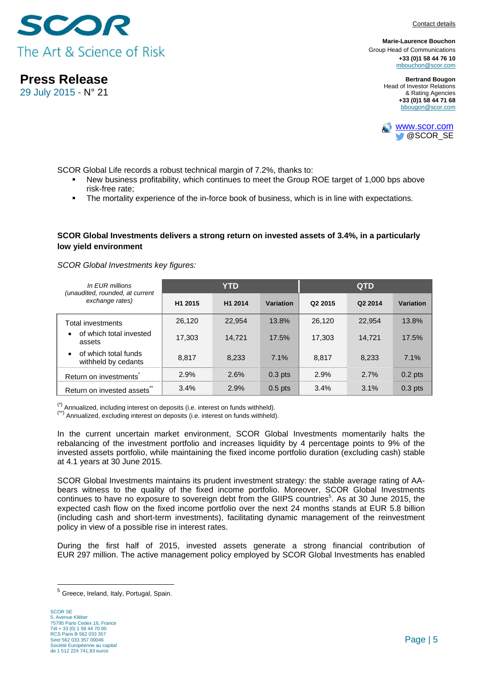

**Press Release** 

29 July 2015 - N° 21

**Marie-Laurence Bouchon** Group Head of Communications **+33 (0)1 58 44 76 10** mbouchon@scor.com

> **Bertrand Bougon**  Head of Investor Relations & Rating Agencies **+33 (0)1 58 44 71 68**  bbougon@scor.com



SCOR Global Life records a robust technical margin of 7.2%, thanks to:

- New business profitability, which continues to meet the Group ROE target of 1,000 bps above risk-free rate;
- The mortality experience of the in-force book of business, which is in line with expectations.

### **SCOR Global Investments delivers a strong return on invested assets of 3.4%, in a particularly low yield environment**

#### *SCOR Global Investments key figures:*

| In EUR millions<br>(unaudited, rounded, at current       |                     | <b>YTD</b> |           | <b>QTD</b>          |         |           |
|----------------------------------------------------------|---------------------|------------|-----------|---------------------|---------|-----------|
| exchange rates)                                          | H <sub>1</sub> 2015 | H1 2014    | Variation | Q <sub>2</sub> 2015 | Q2 2014 | Variation |
| Total investments                                        | 26,120              | 22,954     | 13.8%     | 26.120              | 22,954  | 13.8%     |
| of which total invested<br>$\bullet$<br>assets           | 17,303              | 14.721     | 17.5%     | 17.303              | 14,721  | 17.5%     |
| of which total funds<br>$\bullet$<br>withheld by cedants | 8.817               | 8.233      | 7.1%      | 8.817               | 8.233   | 7.1%      |
| Return on investments                                    | 2.9%                | 2.6%       | $0.3$ pts | 2.9%                | 2.7%    | $0.2$ pts |
| Return on invested assets                                | 3.4%                | 2.9%       | $0.5$ pts | 3.4%                | 3.1%    | $0.3$ pts |

 $(*)$  Annualized, including interest on deposits (i.e. interest on funds withheld).<br> $(**)$  Annualized, excluding interest on deposits (i.e. interest on funds withheld).

In the current uncertain market environment, SCOR Global Investments momentarily halts the rebalancing of the investment portfolio and increases liquidity by 4 percentage points to 9% of the invested assets portfolio, while maintaining the fixed income portfolio duration (excluding cash) stable at 4.1 years at 30 June 2015.

SCOR Global Investments maintains its prudent investment strategy: the stable average rating of AAbears witness to the quality of the fixed income portfolio. Moreover, SCOR Global Investments continues to have no exposure to sovereign debt from the GIIPS countries<sup>5</sup>. As at 30 June 2015, the expected cash flow on the fixed income portfolio over the next 24 months stands at EUR 5.8 billion (including cash and short-term investments), facilitating dynamic management of the reinvestment policy in view of a possible rise in interest rates.

During the first half of 2015, invested assets generate a strong financial contribution of EUR 297 million. The active management policy employed by SCOR Global Investments has enabled

<sup>&</sup>lt;sup>5</sup> Greece, Ireland, Italy, Portugal, Spain.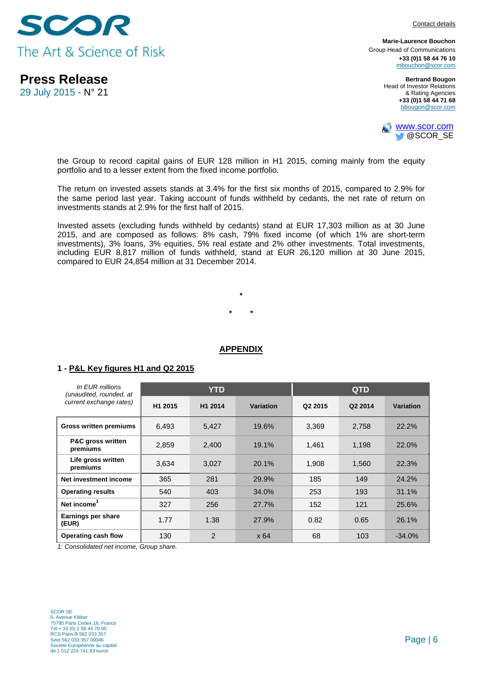

**Press Release** 

29 July 2015 - N° 21

**Marie-Laurence Bouchon** Group Head of Communications **+33 (0)1 58 44 76 10** mbouchon@scor.com

> **Bertrand Bougon**  Head of Investor Relations & Rating Agencies **+33 (0)1 58 44 71 68**  bbougon@scor.com



the Group to record capital gains of EUR 128 million in H1 2015, coming mainly from the equity portfolio and to a lesser extent from the fixed income portfolio.

The return on invested assets stands at 3.4% for the first six months of 2015, compared to 2.9% for the same period last year. Taking account of funds withheld by cedants, the net rate of return on investments stands at 2.9% for the first half of 2015.

Invested assets (excluding funds withheld by cedants) stand at EUR 17,303 million as at 30 June 2015, and are composed as follows: 8% cash, 79% fixed income (of which 1% are short-term investments), 3% loans, 3% equities, 5% real estate and 2% other investments. Total investments, including EUR 8,817 million of funds withheld, stand at EUR 26,120 million at 30 June 2015, compared to EUR 24,854 million at 31 December 2014.

> **\* \* \***

### **APPENDIX**

### **1 - P&L Key figures H1 and Q2 2015**

| In EUR millions<br>(unaudited, rounded, at |                     | <b>YTD</b>     |                  | <b>QTD</b>          |         |           |
|--------------------------------------------|---------------------|----------------|------------------|---------------------|---------|-----------|
| current exchange rates)                    | H <sub>1</sub> 2015 | H1 2014        | <b>Variation</b> | Q <sub>2</sub> 2015 | Q2 2014 | Variation |
| <b>Gross written premiums</b>              | 6,493               | 5,427          | 19.6%            | 3,369               | 2,758   | 22.2%     |
| P&C gross written<br>premiums              | 2.859               | 2,400          | 19.1%            | 1,461               | 1.198   | 22.0%     |
| Life gross written<br>premiums             | 3,634               | 3,027          | 20.1%            | 1,908               | 1,560   | 22.3%     |
| Net investment income                      | 365                 | 281            | 29.9%            | 185                 | 149     | 24.2%     |
| <b>Operating results</b>                   | 540                 | 403            | 34.0%            | 253                 | 193     | 31.1%     |
| Net income <sup>1</sup>                    | 327                 | 256            | 27.7%            | 152                 | 121     | 25.6%     |
| Earnings per share<br>(EUR)                | 1.77                | 1.38           | 27.9%            | 0.82                | 0.65    | 26.1%     |
| Operating cash flow                        | 130                 | $\mathfrak{p}$ | x64              | 68                  | 103     | $-34.0%$  |

*1: Consolidated net income, Group share.*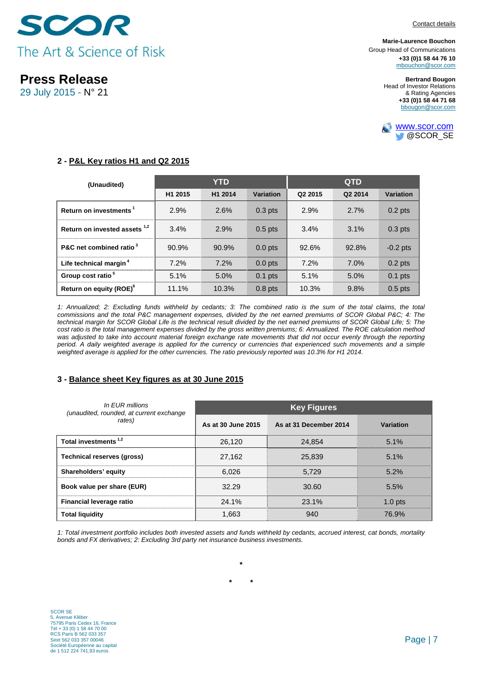



**Press Release** 

29 July 2015 - N° 21

**Marie-Laurence Bouchon** Group Head of Communications **+33 (0)1 58 44 76 10** mbouchon@scor.com

> **Bertrand Bougon**  Head of Investor Relations & Rating Agencies **+33 (0)1 58 44 71 68**  bbougon@scor.com



## **2 - P&L Key ratios H1 and Q2 2015**

| (Unaudited)                              |         | <b>YTD</b> |           | <b>QTD</b>          |         |                  |
|------------------------------------------|---------|------------|-----------|---------------------|---------|------------------|
|                                          | H1 2015 | H1 2014    | Variation | Q <sub>2</sub> 2015 | Q2 2014 | <b>Variation</b> |
| Return on investments <sup>1</sup>       | 2.9%    | 2.6%       | $0.3$ pts | 2.9%                | 2.7%    | $0.2$ pts        |
| Return on invested assets <sup>1,2</sup> | 3.4%    | 2.9%       | $0.5$ pts | 3.4%                | 3.1%    | $0.3$ pts        |
| P&C net combined ratio <sup>3</sup>      | 90.9%   | 90.9%      | $0.0$ pts | 92.6%               | 92.8%   | $-0.2$ pts       |
| Life technical margin <sup>4</sup>       | 7.2%    | 7.2%       | $0.0$ pts | 7.2%                | 7.0%    | $0.2$ pts        |
| Group cost ratio <sup>5</sup>            | 5.1%    | 5.0%       | $0.1$ pts | 5.1%                | 5.0%    | $0.1$ pts        |
| Return on equity (ROE) <sup>6</sup>      | 11.1%   | 10.3%      | $0.8$ pts | 10.3%               | 9.8%    | $0.5$ pts        |

1: Annualized; 2: Excluding funds withheld by cedants; 3: The combined ratio is the sum of the total claims, the total *commissions and the total P&C management expenses, divided by the net earned premiums of SCOR Global P&C; 4: The technical margin for SCOR Global Life is the technical result divided by the net earned premiums of SCOR Global Life; 5: The cost ratio is the total management expenses divided by the gross written premiums; 6: Annualized. The ROE calculation method was adjusted to take into account material foreign exchange rate movements that did not occur evenly through the reporting period. A daily weighted average is applied for the currency or currencies that experienced such movements and a simple*  weighted average is applied for the other currencies. The ratio previously reported was 10.3% for H1 2014.

### **3 - Balance sheet Key figures as at 30 June 2015**

| In EUR millions<br>(unaudited, rounded, at current exchange | <b>Key Figures</b> |                        |           |  |  |  |  |
|-------------------------------------------------------------|--------------------|------------------------|-----------|--|--|--|--|
| rates)                                                      | As at 30 June 2015 | As at 31 December 2014 | Variation |  |  |  |  |
| Total investments <sup>1,2</sup>                            | 26,120             | 24.854                 | 5.1%      |  |  |  |  |
| <b>Technical reserves (gross)</b>                           | 27,162             | 25,839                 | 5.1%      |  |  |  |  |
| Shareholders' equity                                        | 6.026              | 5.729                  | 5.2%      |  |  |  |  |
| Book value per share (EUR)                                  | 32.29              | 30.60                  | 5.5%      |  |  |  |  |
| <b>Financial leverage ratio</b>                             | 24.1%              | 23.1%                  | 1.0 pts   |  |  |  |  |
| <b>Total liquidity</b>                                      | 1,663              | 940                    | 76.9%     |  |  |  |  |

*1: Total investment portfolio includes both invested assets and funds withheld by cedants, accrued interest, cat bonds, mortality bonds and FX derivatives; 2: Excluding 3rd party net insurance business investments.* 

**\* \*** 

**\***